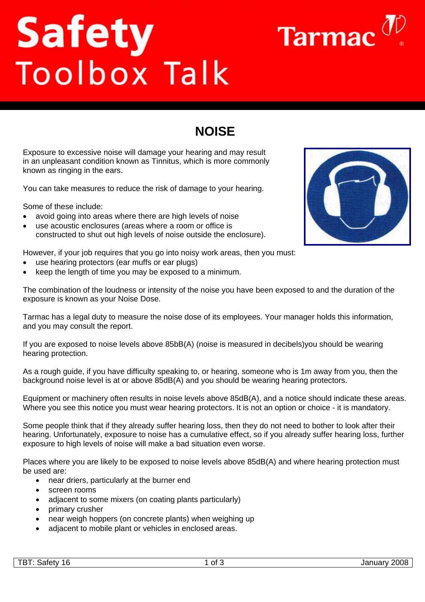# Safety<br>Toolbox Talk

# **NOISE**

Exposure to excessive noise will damage your hearing and may result in an unpleasant condition known as Tinnitus, which is more commonly known as ringing in the ears.

You can take measures to reduce the risk of damage to your hearing.

Some of these include:

- avoid going into areas where there are high levels of noise
- use acoustic enclosures (areas where a room or office is constructed to shut out high levels of noise outside the enclosure).

However, if your job requires that you go into noisy work areas, then you must:

- use hearing protectors (ear muffs or ear plugs)
- keep the length of time you may be exposed to a minimum.

The combination of the loudness or intensity of the noise you have been exposed to and the duration of the exposure is known as your Noise Dose.

Tarmac has a legal duty to measure the noise dose of its employees. Your manager holds this information, and you may consult the report.

If you are exposed to noise levels above 85bB(A) (noise is measured in decibels)you should be wearing hearing protection.

As a rough guide, if you have difficulty speaking to, or hearing, someone who is 1m away from you, then the background noise level is at or above 85dB(A) and you should be wearing hearing protectors.

Equipment or machinery often results in noise levels above 85dB(A), and a notice should indicate these areas. Where you see this notice you must wear hearing protectors. It is not an option or choice - it is mandatory.

Some people think that if they already suffer hearing loss, then they do not need to bother to look after their hearing. Unfortunately, exposure to noise has a cumulative effect, so if you already suffer hearing loss, further exposure to high levels of noise will make a bad situation even worse.

Places where you are likely to be exposed to noise levels above 85dB(A) and where hearing protection must be used are:

- near driers, particularly at the burner end
- screen rooms
- adjacent to some mixers (on coating plants particularly)
- primary crusher
- near weigh hoppers (on concrete plants) when weighing up
- adiacent to mobile plant or vehicles in enclosed areas.



Tarmac  $\sigma$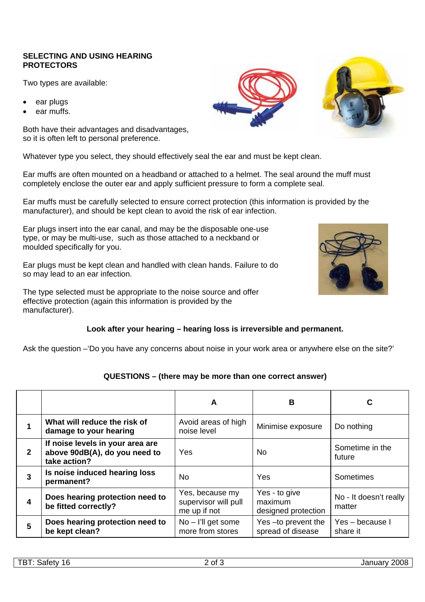### **SELECTING AND USING HEARING PROTECTORS**

Two types are available:

- ear plugs
- ear muffs.

Both have their advantages and disadvantages, so it is often left to personal preference.

Whatever type you select, they should effectively seal the ear and must be kept clean.

Ear muffs are often mounted on a headband or attached to a helmet. The seal around the muff must completely enclose the outer ear and apply sufficient pressure to form a complete seal.

Ear muffs must be carefully selected to ensure correct protection (this information is provided by the manufacturer), and should be kept clean to avoid the risk of ear infection.

Ear plugs insert into the ear canal, and may be the disposable one-use type, or may be multi-use, such as those attached to a neckband or moulded specifically for you.

Ear plugs must be kept clean and handled with clean hands. Failure to do so may lead to an ear infection.

The type selected must be appropriate to the noise source and offer effective protection (again this information is provided by the manufacturer).

## **Look after your hearing – hearing loss is irreversible and permanent.**

Ask the question –'Do you have any concerns about noise in your work area or anywhere else on the site?'

# **QUESTIONS – (there may be more than one correct answer)**

|              |                                                                                   | A                                                       | В                                               | C                                |
|--------------|-----------------------------------------------------------------------------------|---------------------------------------------------------|-------------------------------------------------|----------------------------------|
|              | What will reduce the risk of<br>damage to your hearing                            | Avoid areas of high<br>noise level                      | Minimise exposure                               | Do nothing                       |
| $\mathbf{2}$ | If noise levels in your area are<br>above 90dB(A), do you need to<br>take action? | Yes                                                     | No.                                             | Sometime in the<br>future        |
| 3            | Is noise induced hearing loss<br>permanent?                                       | No                                                      | Yes                                             | <b>Sometimes</b>                 |
|              | Does hearing protection need to<br>be fitted correctly?                           | Yes, because my<br>supervisor will pull<br>me up if not | Yes - to give<br>maximum<br>designed protection | No - It doesn't really<br>matter |
| 5            | Does hearing protection need to<br>be kept clean?                                 | $No$ – I'll get some<br>more from stores                | Yes-to prevent the<br>spread of disease         | Yes - because I<br>share it      |